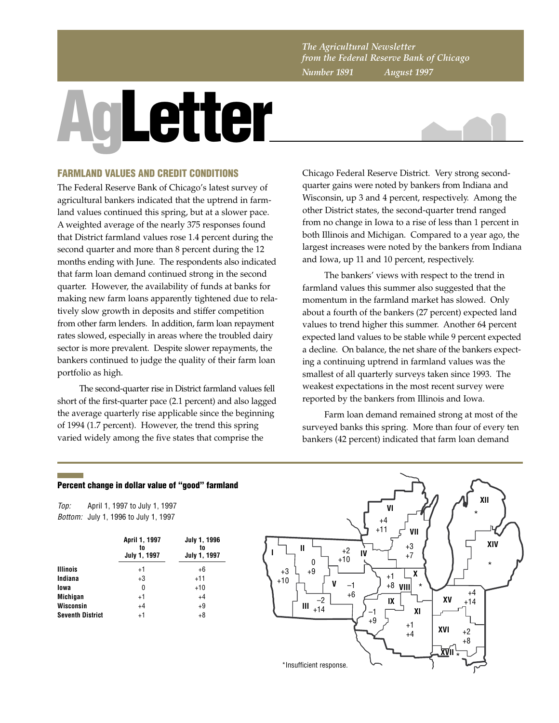*The Agricultural Newsletter from the Federal Reserve Bank of Chicago Number 1891 August 1997*

# **AgLetter**



# **FARMLAND VALUES AND CREDIT CONDITIONS**

The Federal Reserve Bank of Chicago's latest survey of agricultural bankers indicated that the uptrend in farmland values continued this spring, but at a slower pace. A weighted average of the nearly 375 responses found that District farmland values rose 1.4 percent during the second quarter and more than 8 percent during the 12 months ending with June. The respondents also indicated that farm loan demand continued strong in the second quarter. However, the availability of funds at banks for making new farm loans apparently tightened due to relatively slow growth in deposits and stiffer competition from other farm lenders. In addition, farm loan repayment rates slowed, especially in areas where the troubled dairy sector is more prevalent. Despite slower repayments, the bankers continued to judge the quality of their farm loan portfolio as high.

The second-quarter rise in District farmland values fell short of the first-quarter pace (2.1 percent) and also lagged the average quarterly rise applicable since the beginning of 1994 (1.7 percent). However, the trend this spring varied widely among the five states that comprise the

Chicago Federal Reserve District. Very strong secondquarter gains were noted by bankers from Indiana and Wisconsin, up 3 and 4 percent, respectively. Among the other District states, the second-quarter trend ranged from no change in Iowa to a rise of less than 1 percent in both Illinois and Michigan. Compared to a year ago, the largest increases were noted by the bankers from Indiana and Iowa, up 11 and 10 percent, respectively.

The bankers' views with respect to the trend in farmland values this summer also suggested that the momentum in the farmland market has slowed. Only about a fourth of the bankers (27 percent) expected land values to trend higher this summer. Another 64 percent expected land values to be stable while 9 percent expected a decline. On balance, the net share of the bankers expecting a continuing uptrend in farmland values was the smallest of all quarterly surveys taken since 1993. The weakest expectations in the most recent survey were reported by the bankers from Illinois and Iowa.

Farm loan demand remained strong at most of the surveyed banks this spring. More than four of every ten bankers (42 percent) indicated that farm loan demand

## **Percent change in dollar value of "good" farmland**

Top: Bottom: July 1, 1996 to July 1, 1997 April 1, 1997 to July 1, 1997

|                         | April 1, 1997<br>to<br>July 1, 1997 | <b>July 1, 1996</b><br>to<br>July 1, 1997 |
|-------------------------|-------------------------------------|-------------------------------------------|
| <b>Illinois</b>         | $+1$                                | +6                                        |
| Indiana                 | $+3$                                | $+11$                                     |
| lowa                    | 0                                   | $+10$                                     |
| <b>Michigan</b>         | $+1$                                | $+4$                                      |
| <b>Wisconsin</b>        | $+4$                                | $+9$                                      |
| <b>Seventh District</b> | $+1$                                | $+8$                                      |

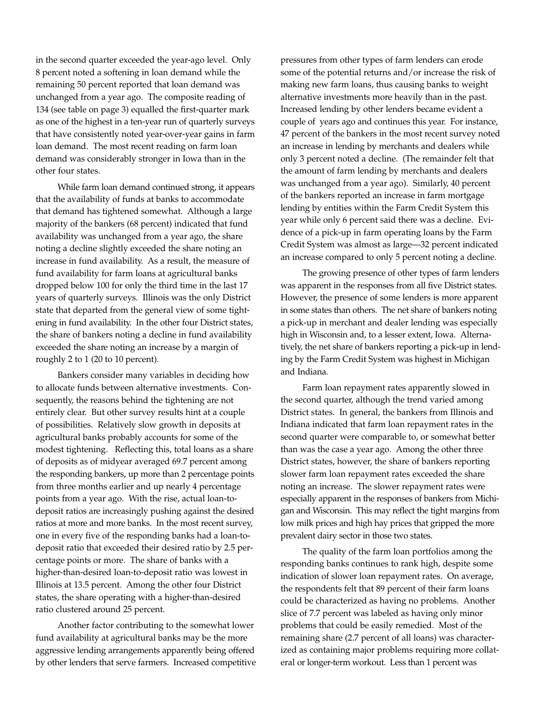in the second quarter exceeded the year-ago level. Only 8 percent noted a softening in loan demand while the remaining 50 percent reported that loan demand was unchanged from a year ago. The composite reading of 134 (see table on page 3) equalled the first-quarter mark as one of the highest in a ten-year run of quarterly surveys that have consistently noted year-over-year gains in farm loan demand. The most recent reading on farm loan demand was considerably stronger in Iowa than in the other four states.

While farm loan demand continued strong, it appears that the availability of funds at banks to accommodate that demand has tightened somewhat. Although a large majority of the bankers (68 percent) indicated that fund availability was unchanged from a year ago, the share noting a decline slightly exceeded the share noting an increase in fund availability. As a result, the measure of fund availability for farm loans at agricultural banks dropped below 100 for only the third time in the last 17 years of quarterly surveys. Illinois was the only District state that departed from the general view of some tightening in fund availability. In the other four District states, the share of bankers noting a decline in fund availability exceeded the share noting an increase by a margin of roughly 2 to 1 (20 to 10 percent).

Bankers consider many variables in deciding how to allocate funds between alternative investments. Consequently, the reasons behind the tightening are not entirely clear. But other survey results hint at a couple of possibilities. Relatively slow growth in deposits at agricultural banks probably accounts for some of the modest tightening. Reflecting this, total loans as a share of deposits as of midyear averaged 69.7 percent among the responding bankers, up more than 2 percentage points from three months earlier and up nearly 4 percentage points from a year ago. With the rise, actual loan-todeposit ratios are increasingly pushing against the desired ratios at more and more banks. In the most recent survey, one in every five of the responding banks had a loan-todeposit ratio that exceeded their desired ratio by 2.5 percentage points or more. The share of banks with a higher-than-desired loan-to-deposit ratio was lowest in Illinois at 13.5 percent. Among the other four District states, the share operating with a higher-than-desired ratio clustered around 25 percent.

Another factor contributing to the somewhat lower fund availability at agricultural banks may be the more aggressive lending arrangements apparently being offered by other lenders that serve farmers. Increased competitive pressures from other types of farm lenders can erode some of the potential returns and/or increase the risk of making new farm loans, thus causing banks to weight alternative investments more heavily than in the past. Increased lending by other lenders became evident a couple of years ago and continues this year. For instance, 47 percent of the bankers in the most recent survey noted an increase in lending by merchants and dealers while only 3 percent noted a decline. (The remainder felt that the amount of farm lending by merchants and dealers was unchanged from a year ago). Similarly, 40 percent of the bankers reported an increase in farm mortgage lending by entities within the Farm Credit System this year while only 6 percent said there was a decline. Evidence of a pick-up in farm operating loans by the Farm Credit System was almost as large—32 percent indicated an increase compared to only 5 percent noting a decline.

The growing presence of other types of farm lenders was apparent in the responses from all five District states. However, the presence of some lenders is more apparent in some states than others. The net share of bankers noting a pick-up in merchant and dealer lending was especially high in Wisconsin and, to a lesser extent, Iowa. Alternatively, the net share of bankers reporting a pick-up in lending by the Farm Credit System was highest in Michigan and Indiana.

Farm loan repayment rates apparently slowed in the second quarter, although the trend varied among District states. In general, the bankers from Illinois and Indiana indicated that farm loan repayment rates in the second quarter were comparable to, or somewhat better than was the case a year ago. Among the other three District states, however, the share of bankers reporting slower farm loan repayment rates exceeded the share noting an increase. The slower repayment rates were especially apparent in the responses of bankers from Michigan and Wisconsin. This may reflect the tight margins from low milk prices and high hay prices that gripped the more prevalent dairy sector in those two states.

The quality of the farm loan portfolios among the responding banks continues to rank high, despite some indication of slower loan repayment rates. On average, the respondents felt that 89 percent of their farm loans could be characterized as having no problems. Another slice of 7.7 percent was labeled as having only minor problems that could be easily remedied. Most of the remaining share (2.7 percent of all loans) was characterized as containing major problems requiring more collateral or longer-term workout. Less than 1 percent was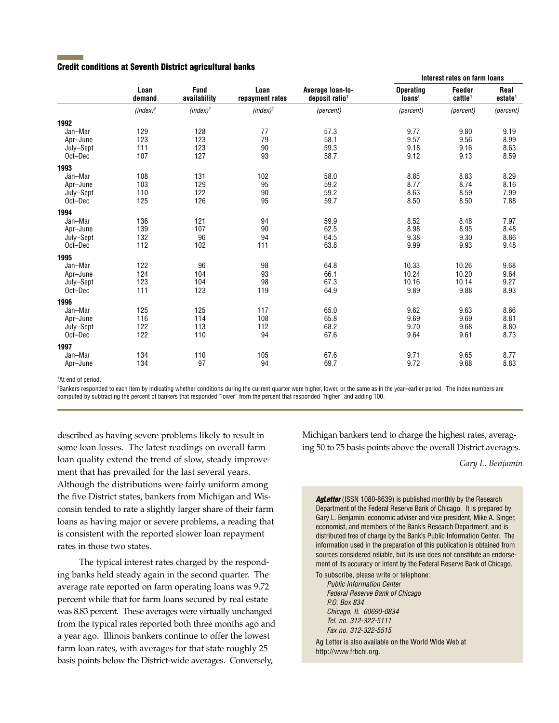### **Credit conditions at Seventh District agricultural banks**

|           |                | <b>Fund</b><br>availability | Loan<br>repayment rates | Average loan-to-<br>deposit ratio <sup>1</sup> | THEFEST FALES ON TAINT TUAIS           |                               |                             |
|-----------|----------------|-----------------------------|-------------------------|------------------------------------------------|----------------------------------------|-------------------------------|-----------------------------|
|           | Loan<br>demand |                             |                         |                                                | <b>Operating</b><br>Ioans <sup>1</sup> | Feeder<br>cattle <sup>1</sup> | Real<br>estate <sup>1</sup> |
|           | $(index)^2$    | $(index)^2$                 | $(index)^2$             | (percent)                                      | (percent)                              | (percent)                     | (percent)                   |
| 1992      |                |                             |                         |                                                |                                        |                               |                             |
| Jan-Mar   | 129            | 128                         | 77                      | 57.3                                           | 9.77                                   | 9.80                          | 9.19                        |
| Apr-June  | 123            | 123                         | 79                      | 58.1                                           | 9.57                                   | 9.56                          | 8.99                        |
| July-Sept | 111            | 123                         | 90                      | 59.3                                           | 9.18                                   | 9.16                          | 8.63                        |
| Oct-Dec   | 107            | 127                         | 93                      | 58.7                                           | 9.12                                   | 9.13                          | 8.59                        |
| 1993      |                |                             |                         |                                                |                                        |                               |                             |
| Jan-Mar   | 108            | 131                         | 102                     | 58.0                                           | 8.85                                   | 8.83                          | 8.29                        |
| Apr-June  | 103            | 129                         | 95                      | 59.2                                           | 8.77                                   | 8.74                          | 8.16                        |
| July-Sept | 110            | 122                         | 90                      | 59.2                                           | 8.63                                   | 8.59                          | 7.99                        |
| Oct-Dec   | 125            | 126                         | 95                      | 59.7                                           | 8.50                                   | 8.50                          | 7.88                        |
| 1994      |                |                             |                         |                                                |                                        |                               |                             |
| Jan-Mar   | 136            | 121                         | 94                      | 59.9                                           | 8.52                                   | 8.48                          | 7.97                        |
| Apr-June  | 139            | 107                         | 90                      | 62.5                                           | 8.98                                   | 8.95                          | 8.48                        |
| July-Sept | 132            | 96                          | 94                      | 64.5                                           | 9.38                                   | 9.30                          | 8.86                        |
| Oct-Dec   | 112            | 102                         | 111                     | 63.8                                           | 9.99                                   | 9.93                          | 9.48                        |
| 1995      |                |                             |                         |                                                |                                        |                               |                             |
| Jan-Mar   | 122            | 96                          | 98                      | 64.8                                           | 10.33                                  | 10.26                         | 9.68                        |
| Apr-June  | 124            | 104                         | 93                      | 66.1                                           | 10.24                                  | 10.20                         | 9.64                        |
| July-Sept | 123            | 104                         | 98                      | 67.3                                           | 10.16                                  | 10.14                         | 9.27                        |
| Oct-Dec   | 111            | 123                         | 119                     | 64.9                                           | 9.89                                   | 9.88                          | 8.93                        |
| 1996      |                |                             |                         |                                                |                                        |                               |                             |
| Jan-Mar   | 125            | 125                         | 117                     | 65.0                                           | 9.62                                   | 9.63                          | 8.66                        |
| Apr-June  | 116            | 114                         | 108                     | 65.8                                           | 9.69                                   | 9.69                          | 8.81                        |
| July-Sept | 122            | 113                         | 112                     | 68.2                                           | 9.70                                   | 9.68                          | 8.80                        |
| Oct-Dec   | 122            | 110                         | 94                      | 67.6                                           | 9.64                                   | 9.61                          | 8.73                        |
| 1997      |                |                             |                         |                                                |                                        |                               |                             |
| Jan-Mar   | 134            | 110                         | 105                     | 67.6                                           | 9.71                                   | 9.65                          | 8.77                        |
| Apr-June  | 134            | 97                          | 94                      | 69.7                                           | 9.72                                   | 9.68                          | 8.83                        |
|           |                |                             |                         |                                                |                                        |                               |                             |

<sup>1</sup>At end of period.

2 Bankers responded to each item by indicating whether conditions during the current quarter were higher, lower, or the same as in the year–earlier period. The index numbers are computed by subtracting the percent of bankers that responded "lower" from the percent that responded "higher" and adding 100.

described as having severe problems likely to result in some loan losses. The latest readings on overall farm loan quality extend the trend of slow, steady improvement that has prevailed for the last several years. Although the distributions were fairly uniform among the five District states, bankers from Michigan and Wisconsin tended to rate a slightly larger share of their farm loans as having major or severe problems, a reading that is consistent with the reported slower loan repayment rates in those two states.

The typical interest rates charged by the responding banks held steady again in the second quarter. The average rate reported on farm operating loans was 9.72 percent while that for farm loans secured by real estate was 8.83 percent. These averages were virtually unchanged from the typical rates reported both three months ago and a year ago. Illinois bankers continue to offer the lowest farm loan rates, with averages for that state roughly 25 basis points below the District-wide averages. Conversely,

Michigan bankers tend to charge the highest rates, averaging 50 to 75 basis points above the overall District averages.

#### *Gary L. Benjamin*

**Interest rates on farm loans**

Agletter (ISSN 1080-8639) is published monthly by the Research Department of the Federal Reserve Bank of Chicago. It is prepared by Gary L. Benjamin, economic adviser and vice president, Mike A. Singer, economist, and members of the Bank's Research Department, and is distributed free of charge by the Bank's Public Information Center. The information used in the preparation of this publication is obtained from sources considered reliable, but its use does not constitute an endorsement of its accuracy or intent by the Federal Reserve Bank of Chicago.

To subscribe, please write or telephone: Public Information Center Federal Reserve Bank of Chicago P.O. Box 834 Chicago, IL 60690-0834 Tel. no. 312-322-5111 Fax no. 312-322-5515

Ag Letter is also available on the World Wide Web at http://www.frbchi.org.